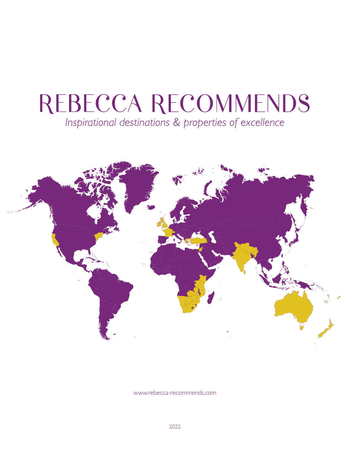# REBECCA RECOMMENDS Inspirational destinations & properties of excellence



[www.rebecca-recommends.com](http://www.rebecca-recommends.com)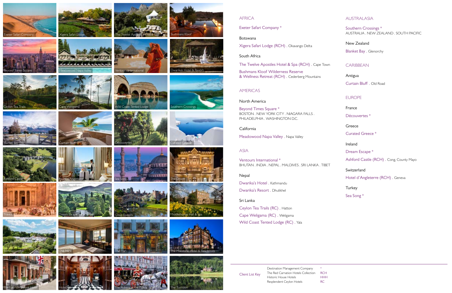Client List Key

Destination Management Company The Red Carnation Hotels Collection RCH Historic House Hotels Resplendent Ceylon Hotels  $\ast$ HHH RC









Meadowood Napa Valley























# **AFRICA**





























Exeter Safari Company \*

### Botswana

[Xigera Safari Lodge \(RCH\) .](https://www.rebecca-recommends.com/hotelresidence/xigera-safari-lodge/) Okavango Delta

# South Africa

[The Twelve Apostles Hotel & Spa \(RCH\) .](https://www.rebecca-recommends.com/hotelresidence/the-twelve-apostles-hotel-and-spa/) Cape Town [Bushmans Kloof Wilderness Reserve](https://www.rebecca-recommends.com/hotelresidence/bushmans-kloof-wilderness-reserve-wellness-retreat/)  [& Wellness Retreat \(RCH\) .](https://www.rebecca-recommends.com/hotelresidence/bushmans-kloof-wilderness-reserve-wellness-retreat/) Cederberg Mountains

# AMERICAS

## North America

[Beyond Times Square \\*](https://www.rebecca-recommends.com/destinationservices/beyond-times-square/) BOSTON . NEW YORK CITY . NIAGARA FALLS . PHILADELPHIA . WASHINGTON D.C.

## California

Meadowood Napa Valley . Napa Valley

## ASIA

[Ventours International \\*](https://www.rebecca-recommends.com/destinationservices/ventours-international/) BHUTAN . INDIA . NEPAL . MALDIVES . SRI LANKA . TIBET

## Nepal

[Dwarika's Hotel .](https://www.rebecca-recommends.com/hotelresidence/dwarikas-hotel/) Kathmandu [Dwarika's Resort .](https://www.rebecca-recommends.com/hotelresidence/the-dwarikas-resort/) Dhulikhel

Sri Lanka

[Ceylon Tea Trails \(RC\) .](https://www.rebecca-recommends.com/hotelresidence/tea-trails/) Hatton [Cape Weligama \(RC\) .](https://www.rebecca-recommends.com/hotelresidence/cape-weligama/) Weligama [Wild Coast Tented Lodge \(RC\) .](https://www.rebecca-recommends.com/hotelresidence/wild-coast-tented-lodge/) Yala AUSTRALASIA

[Southern Crossings \\*](https://www.rebecca-recommends.com/destinationservices/southern-crossings-3/) AUSTRALIA . NEW ZEALAND . SOUTH PACIFIC

New Zealand [Blanket Bay .](https://www.rebecca-recommends.com/hotelresidence/blanket-bay/) Glenorchy

# CARIBBEAN

Antigua [Curtain Bluff .](https://www.rebecca-recommends.com/hotelresidence/curtain-bluff/) Old Road

EUROPE

France

[Découvertes \\*](https://www.rebecca-recommends.com/destinationservices/decouvertes/)

Greece

[Curated Greece \\*](https://www.rebecca-recommends.com/destinationservices/curated-greece/)

Ireland

Dream Escape \*

[Ashford Castle \(RCH\) .](https://www.rebecca-recommends.com/hotelresidence/ashford-castle/) Cong, County Mayo

Switzerland

[Hotel d'Angleterre \(RCH\) .](https://www.rebecca-recommends.com/hotelresidence/hotel-dangleterre/) Geneva

**Turkey** 

[Sea Song \\*](https://www.rebecca-recommends.com/destinationservices/sea-song/)